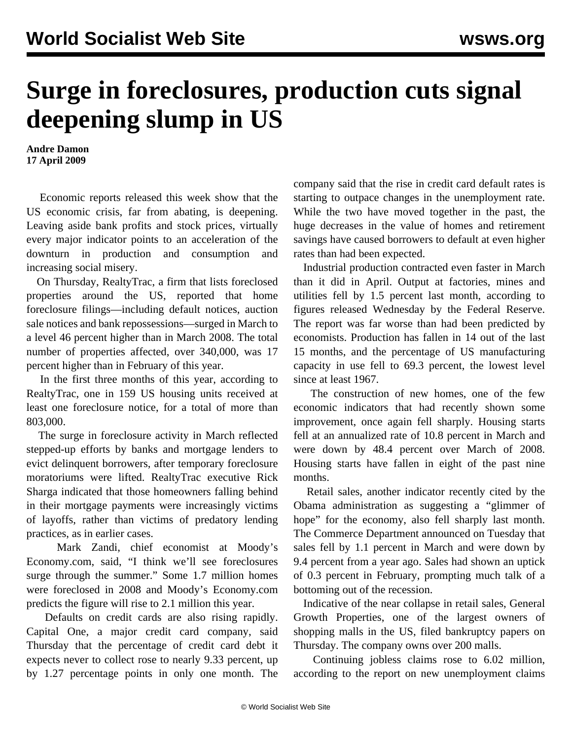## **Surge in foreclosures, production cuts signal deepening slump in US**

**Andre Damon 17 April 2009**

 Economic reports released this week show that the US economic crisis, far from abating, is deepening. Leaving aside bank profits and stock prices, virtually every major indicator points to an acceleration of the downturn in production and consumption and increasing social misery.

 On Thursday, RealtyTrac, a firm that lists foreclosed properties around the US, reported that home foreclosure filings—including default notices, auction sale notices and bank repossessions—surged in March to a level 46 percent higher than in March 2008. The total number of properties affected, over 340,000, was 17 percent higher than in February of this year.

 In the first three months of this year, according to RealtyTrac, one in 159 US housing units received at least one foreclosure notice, for a total of more than 803,000.

 The surge in foreclosure activity in March reflected stepped-up efforts by banks and mortgage lenders to evict delinquent borrowers, after temporary foreclosure moratoriums were lifted. RealtyTrac executive Rick Sharga indicated that those homeowners falling behind in their mortgage payments were increasingly victims of layoffs, rather than victims of predatory lending practices, as in earlier cases.

 Mark Zandi, chief economist at Moody's Economy.com, said, "I think we'll see foreclosures surge through the summer." Some 1.7 million homes were foreclosed in 2008 and Moody's Economy.com predicts the figure will rise to 2.1 million this year.

 Defaults on credit cards are also rising rapidly. Capital One, a major credit card company, said Thursday that the percentage of credit card debt it expects never to collect rose to nearly 9.33 percent, up by 1.27 percentage points in only one month. The

company said that the rise in credit card default rates is starting to outpace changes in the unemployment rate. While the two have moved together in the past, the huge decreases in the value of homes and retirement savings have caused borrowers to default at even higher rates than had been expected.

 Industrial production contracted even faster in March than it did in April. Output at factories, mines and utilities fell by 1.5 percent last month, according to figures released Wednesday by the Federal Reserve. The report was far worse than had been predicted by economists. Production has fallen in 14 out of the last 15 months, and the percentage of US manufacturing capacity in use fell to 69.3 percent, the lowest level since at least 1967.

 The construction of new homes, one of the few economic indicators that had recently shown some improvement, once again fell sharply. Housing starts fell at an annualized rate of 10.8 percent in March and were down by 48.4 percent over March of 2008. Housing starts have fallen in eight of the past nine months.

 Retail sales, another indicator recently cited by the Obama administration as suggesting a "glimmer of hope" for the economy, also fell sharply last month. The Commerce Department announced on Tuesday that sales fell by 1.1 percent in March and were down by 9.4 percent from a year ago. Sales had shown an uptick of 0.3 percent in February, prompting much talk of a bottoming out of the recession.

 Indicative of the near collapse in retail sales, General Growth Properties, one of the largest owners of shopping malls in the US, filed bankruptcy papers on Thursday. The company owns over 200 malls.

 Continuing jobless claims rose to 6.02 million, according to the report on new unemployment claims